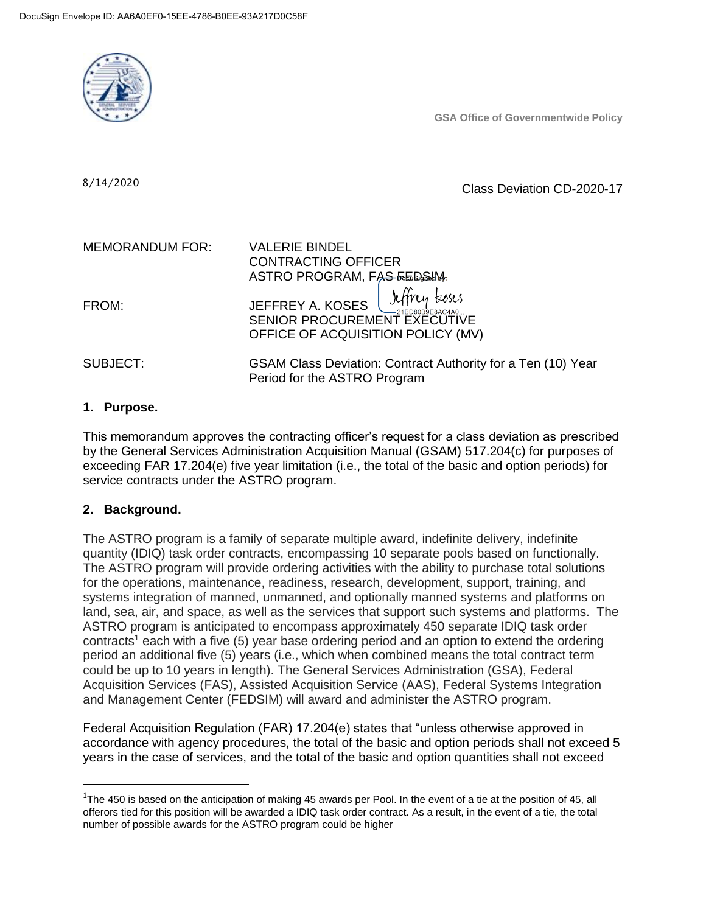

**GSA Office of Governmentwide Policy**

8/14/2020

Class Deviation CD-2020-17

| <b>MEMORANDUM FOR:</b> | <b>VALERIE BINDEL</b><br><b>CONTRACTING OFFICER</b><br>ASTRO PROGRAM, FAS FEDSIM:                         |
|------------------------|-----------------------------------------------------------------------------------------------------------|
| FROM:                  | JEFFREY A. KOSES <i>Jeffry Loses</i><br>SENIOR PROCUREMENT EXECUTIVE<br>OFFICE OF ACQUISITION POLICY (MV) |
| SUBJECT:               | GSAM Class Deviation: Contract Authority for a Ten (10) Year<br>Period for the ASTRO Program              |

## **1. Purpose.**

This memorandum approves the contracting officer's request for a class deviation as prescribed by the General Services Administration Acquisition Manual (GSAM) 517.204(c) for purposes of exceeding FAR 17.204(e) five year limitation (i.e., the total of the basic and option periods) for service contracts under the ASTRO program.

#### **2. Background.**

 $\overline{\phantom{a}}$ 

The ASTRO program is a family of separate multiple award, indefinite delivery, indefinite quantity (IDIQ) task order contracts, encompassing 10 separate pools based on functionally. The ASTRO program will provide ordering activities with the ability to purchase total solutions for the operations, maintenance, readiness, research, development, support, training, and systems integration of manned, unmanned, and optionally manned systems and platforms on land, sea, air, and space, as well as the services that support such systems and platforms. The ASTRO program is anticipated to encompass approximately 450 separate IDIQ task order  $contracts<sup>1</sup> each with a five (5) year base ordering period and an option to extend the ordering$ period an additional five (5) years (i.e., which when combined means the total contract term could be up to 10 years in length). The General Services Administration (GSA), Federal Acquisition Services (FAS), Assisted Acquisition Service (AAS), Federal Systems Integration and Management Center (FEDSIM) will award and administer the ASTRO program.

Federal Acquisition Regulation (FAR) 17.204(e) states that "unless otherwise approved in accordance with agency procedures, the total of the basic and option periods shall not exceed 5 years in the case of services, and the total of the basic and option quantities shall not exceed

 $1$ The 450 is based on the anticipation of making 45 awards per Pool. In the event of a tie at the position of 45, all offerors tied for this position will be awarded a IDIQ task order contract. As a result, in the event of a tie, the total number of possible awards for the ASTRO program could be higher